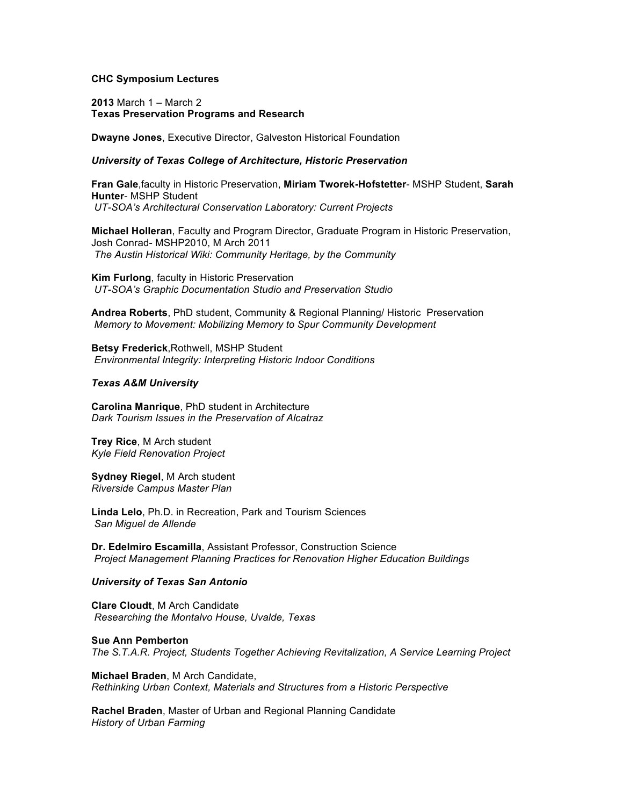# **CHC Symposium Lectures**

**2013** March 1 – March 2 **Texas Preservation Programs and Research**

**Dwayne Jones**, Executive Director, Galveston Historical Foundation

# *University of Texas College of Architecture, Historic Preservation*

**Fran Gale**,faculty in Historic Preservation, **Miriam Tworek-Hofstetter**- MSHP Student, **Sarah Hunter**- MSHP Student *UT-SOA's Architectural Conservation Laboratory: Current Projects*

**Michael Holleran**, Faculty and Program Director, Graduate Program in Historic Preservation, Josh Conrad- MSHP2010, M Arch 2011 *The Austin Historical Wiki: Community Heritage, by the Community*

**Kim Furlong**, faculty in Historic Preservation *UT-SOA's Graphic Documentation Studio and Preservation Studio*

**Andrea Roberts**, PhD student, Community & Regional Planning/ Historic Preservation *Memory to Movement: Mobilizing Memory to Spur Community Development*

**Betsy Frederick**,Rothwell, MSHP Student *Environmental Integrity: Interpreting Historic Indoor Conditions*

## *Texas A&M University*

**Carolina Manrique**, PhD student in Architecture *Dark Tourism Issues in the Preservation of Alcatraz*

**Trey Rice**, M Arch student *Kyle Field Renovation Project*

**Sydney Riegel**, M Arch student *Riverside Campus Master Plan*

**Linda Lelo**, Ph.D. in Recreation, Park and Tourism Sciences *San Miguel de Allende*

**Dr. Edelmiro Escamilla**, Assistant Professor, Construction Science *Project Management Planning Practices for Renovation Higher Education Buildings*

# *University of Texas San Antonio*

**Clare Cloudt**, M Arch Candidate *Researching the Montalvo House, Uvalde, Texas*

**Sue Ann Pemberton** *The S.T.A.R. Project, Students Together Achieving Revitalization, A Service Learning Project*

**Michael Braden**, M Arch Candidate, *Rethinking Urban Context, Materials and Structures from a Historic Perspective*

**Rachel Braden**, Master of Urban and Regional Planning Candidate *History of Urban Farming*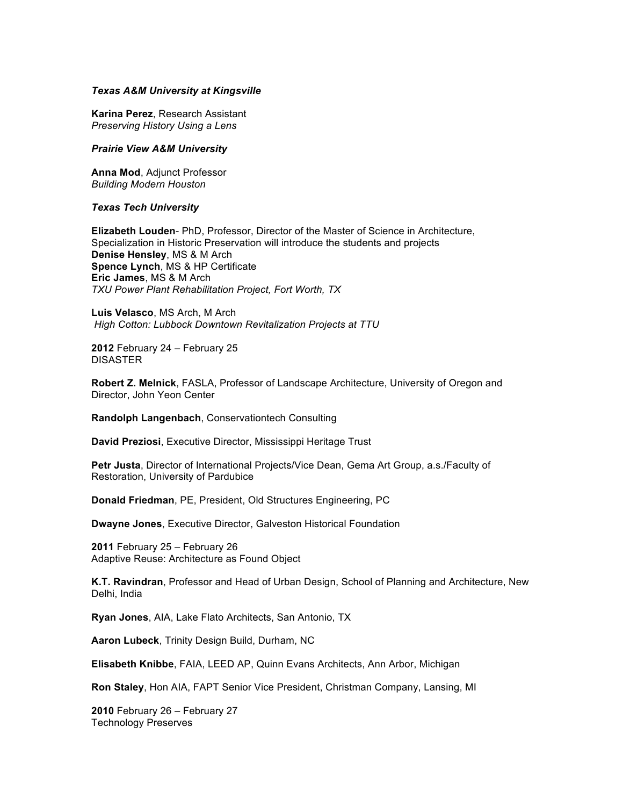## *Texas A&M University at Kingsville*

**Karina Perez**, Research Assistant *Preserving History Using a Lens*

#### *Prairie View A&M University*

**Anna Mod**, Adjunct Professor *Building Modern Houston*

## *Texas Tech University*

**Elizabeth Louden**- PhD, Professor, Director of the Master of Science in Architecture, Specialization in Historic Preservation will introduce the students and projects **Denise Hensley**, MS & M Arch **Spence Lynch**, MS & HP Certificate **Eric James**, MS & M Arch *TXU Power Plant Rehabilitation Project, Fort Worth, TX*

**Luis Velasco**, MS Arch, M Arch *High Cotton: Lubbock Downtown Revitalization Projects at TTU*

**2012** February 24 – February 25 DISASTER

**Robert Z. Melnick**, FASLA, Professor of Landscape Architecture, University of Oregon and Director, John Yeon Center

**Randolph Langenbach**, Conservationtech Consulting

**David Preziosi**, Executive Director, Mississippi Heritage Trust

**Petr Justa**, Director of International Projects/Vice Dean, Gema Art Group, a.s./Faculty of Restoration, University of Pardubice

**Donald Friedman**, PE, President, Old Structures Engineering, PC

**Dwayne Jones**, Executive Director, Galveston Historical Foundation

**2011** February 25 – February 26 Adaptive Reuse: Architecture as Found Object

**K.T. Ravindran**, Professor and Head of Urban Design, School of Planning and Architecture, New Delhi, India

**Ryan Jones**, AIA, Lake Flato Architects, San Antonio, TX

**Aaron Lubeck**, Trinity Design Build, Durham, NC

**Elisabeth Knibbe**, FAIA, LEED AP, Quinn Evans Architects, Ann Arbor, Michigan

**Ron Staley**, Hon AIA, FAPT Senior Vice President, Christman Company, Lansing, MI

**2010** February 26 – February 27 Technology Preserves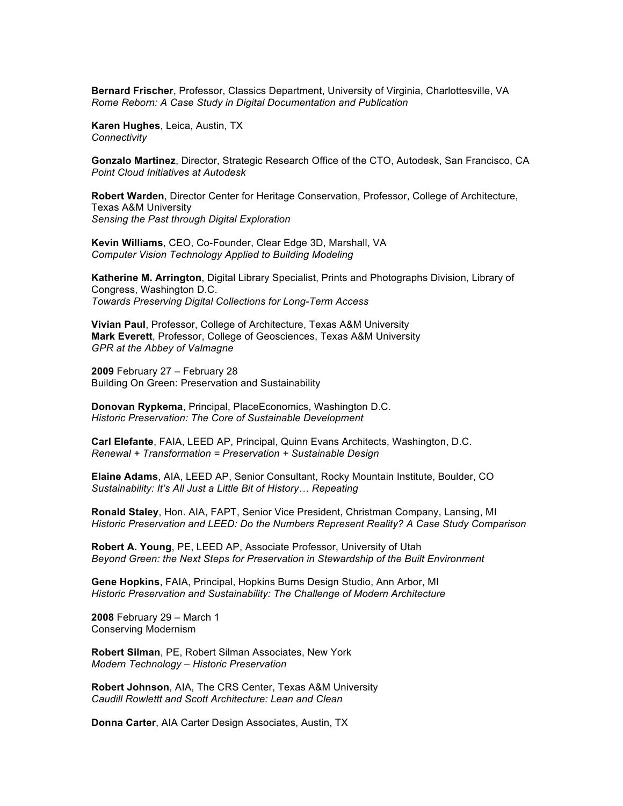**Bernard Frischer**, Professor, Classics Department, University of Virginia, Charlottesville, VA *Rome Reborn: A Case Study in Digital Documentation and Publication*

**Karen Hughes**, Leica, Austin, TX *Connectivity*

**Gonzalo Martinez**, Director, Strategic Research Office of the CTO, Autodesk, San Francisco, CA *Point Cloud Initiatives at Autodesk*

**Robert Warden**, Director Center for Heritage Conservation, Professor, College of Architecture, Texas A&M University *Sensing the Past through Digital Exploration*

**Kevin Williams**, CEO, Co-Founder, Clear Edge 3D, Marshall, VA *Computer Vision Technology Applied to Building Modeling*

**Katherine M. Arrington**, Digital Library Specialist, Prints and Photographs Division, Library of Congress, Washington D.C. *Towards Preserving Digital Collections for Long-Term Access*

**Vivian Paul**, Professor, College of Architecture, Texas A&M University **Mark Everett**, Professor, College of Geosciences, Texas A&M University *GPR at the Abbey of Valmagne*

**2009** February 27 – February 28 Building On Green: Preservation and Sustainability

**Donovan Rypkema**, Principal, PlaceEconomics, Washington D.C. *Historic Preservation: The Core of Sustainable Development*

**Carl Elefante**, FAIA, LEED AP, Principal, Quinn Evans Architects, Washington, D.C. *Renewal + Transformation = Preservation + Sustainable Design*

**Elaine Adams**, AIA, LEED AP, Senior Consultant, Rocky Mountain Institute, Boulder, CO *Sustainability: It's All Just a Little Bit of History… Repeating*

**Ronald Staley**, Hon. AIA, FAPT, Senior Vice President, Christman Company, Lansing, MI *Historic Preservation and LEED: Do the Numbers Represent Reality? A Case Study Comparison*

**Robert A. Young**, PE, LEED AP, Associate Professor, University of Utah *Beyond Green: the Next Steps for Preservation in Stewardship of the Built Environment*

**Gene Hopkins**, FAIA, Principal, Hopkins Burns Design Studio, Ann Arbor, MI *Historic Preservation and Sustainability: The Challenge of Modern Architecture*

**2008** February 29 – March 1 Conserving Modernism

**Robert Silman**, PE, Robert Silman Associates, New York *Modern Technology – Historic Preservation*

**Robert Johnson**, AIA, The CRS Center, Texas A&M University *Caudill Rowlettt and Scott Architecture: Lean and Clean*

**Donna Carter**, AIA Carter Design Associates, Austin, TX